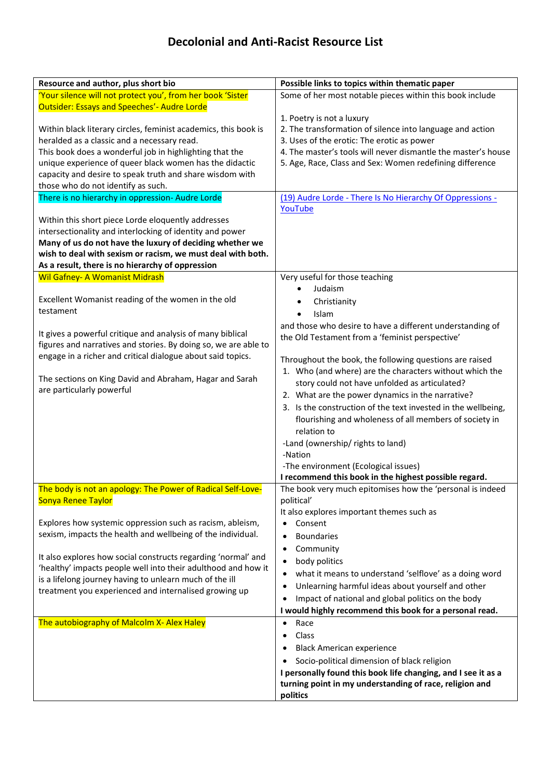| Resource and author, plus short bio                                                                                      | Possible links to topics within thematic paper                       |
|--------------------------------------------------------------------------------------------------------------------------|----------------------------------------------------------------------|
| 'Your silence will not protect you', from her book 'Sister                                                               | Some of her most notable pieces within this book include             |
| <b>Outsider: Essays and Speeches'- Audre Lorde</b>                                                                       |                                                                      |
|                                                                                                                          | 1. Poetry is not a luxury                                            |
| Within black literary circles, feminist academics, this book is                                                          | 2. The transformation of silence into language and action            |
| heralded as a classic and a necessary read.                                                                              | 3. Uses of the erotic: The erotic as power                           |
| This book does a wonderful job in highlighting that the                                                                  | 4. The master's tools will never dismantle the master's house        |
| unique experience of queer black women has the didactic                                                                  | 5. Age, Race, Class and Sex: Women redefining difference             |
| capacity and desire to speak truth and share wisdom with                                                                 |                                                                      |
| those who do not identify as such.                                                                                       |                                                                      |
| There is no hierarchy in oppression- Audre Lorde                                                                         | (19) Audre Lorde - There Is No Hierarchy Of Oppressions -<br>YouTube |
| Within this short piece Lorde eloquently addresses                                                                       |                                                                      |
| intersectionality and interlocking of identity and power                                                                 |                                                                      |
| Many of us do not have the luxury of deciding whether we                                                                 |                                                                      |
| wish to deal with sexism or racism, we must deal with both.                                                              |                                                                      |
| As a result, there is no hierarchy of oppression                                                                         |                                                                      |
| <b>Wil Gafney- A Womanist Midrash</b>                                                                                    | Very useful for those teaching                                       |
|                                                                                                                          | Judaism                                                              |
| Excellent Womanist reading of the women in the old                                                                       | Christianity                                                         |
| testament                                                                                                                | Islam<br>$\bullet$                                                   |
|                                                                                                                          | and those who desire to have a different understanding of            |
| It gives a powerful critique and analysis of many biblical                                                               | the Old Testament from a 'feminist perspective'                      |
| figures and narratives and stories. By doing so, we are able to                                                          |                                                                      |
| engage in a richer and critical dialogue about said topics.                                                              | Throughout the book, the following questions are raised              |
|                                                                                                                          | 1. Who (and where) are the characters without which the              |
| The sections on King David and Abraham, Hagar and Sarah                                                                  | story could not have unfolded as articulated?                        |
| are particularly powerful                                                                                                | 2. What are the power dynamics in the narrative?                     |
|                                                                                                                          | 3. Is the construction of the text invested in the wellbeing,        |
|                                                                                                                          | flourishing and wholeness of all members of society in               |
|                                                                                                                          | relation to                                                          |
|                                                                                                                          | -Land (ownership/ rights to land)                                    |
|                                                                                                                          | -Nation                                                              |
|                                                                                                                          | -The environment (Ecological issues)                                 |
|                                                                                                                          | I recommend this book in the highest possible regard.                |
| The body is not an apology: The Power of Radical Self-Love-                                                              | The book very much epitomises how the 'personal is indeed            |
| <b>Sonya Renee Taylor</b>                                                                                                | political'                                                           |
|                                                                                                                          | It also explores important themes such as                            |
| Explores how systemic oppression such as racism, ableism,                                                                | Consent<br>$\bullet$                                                 |
| sexism, impacts the health and wellbeing of the individual.                                                              | <b>Boundaries</b><br>٠                                               |
|                                                                                                                          | Community<br>٠                                                       |
| It also explores how social constructs regarding 'normal' and                                                            | body politics<br>٠                                                   |
| 'healthy' impacts people well into their adulthood and how it<br>is a lifelong journey having to unlearn much of the ill | what it means to understand 'selflove' as a doing word<br>٠          |
| treatment you experienced and internalised growing up                                                                    | Unlearning harmful ideas about yourself and other<br>٠               |
|                                                                                                                          | Impact of national and global politics on the body                   |
|                                                                                                                          | I would highly recommend this book for a personal read.              |
| The autobiography of Malcolm X- Alex Haley                                                                               | Race<br>$\bullet$                                                    |
|                                                                                                                          | Class<br>$\bullet$                                                   |
|                                                                                                                          | <b>Black American experience</b>                                     |
|                                                                                                                          | Socio-political dimension of black religion                          |
|                                                                                                                          | I personally found this book life changing, and I see it as a        |
|                                                                                                                          | turning point in my understanding of race, religion and              |
|                                                                                                                          | politics                                                             |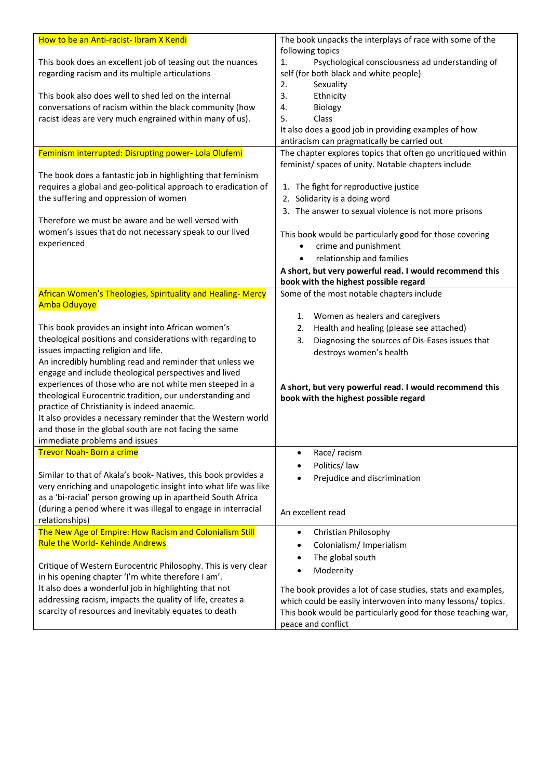| How to be an Anti-racist-Ibram X Kendi                                                                                        | The book unpacks the interplays of race with some of the                   |
|-------------------------------------------------------------------------------------------------------------------------------|----------------------------------------------------------------------------|
|                                                                                                                               | following topics                                                           |
| This book does an excellent job of teasing out the nuances                                                                    | Psychological consciousness ad understanding of<br>1.                      |
| regarding racism and its multiple articulations                                                                               | self (for both black and white people)                                     |
|                                                                                                                               | 2.<br>Sexuality                                                            |
| This book also does well to shed led on the internal                                                                          | 3.<br>Ethnicity                                                            |
| conversations of racism within the black community (how                                                                       | Biology<br>4.                                                              |
| racist ideas are very much engrained within many of us).                                                                      | 5.<br>Class                                                                |
|                                                                                                                               | It also does a good job in providing examples of how                       |
|                                                                                                                               | antiracism can pragmatically be carried out                                |
| Feminism interrupted: Disrupting power- Lola Olufemi                                                                          | The chapter explores topics that often go uncritiqued within               |
|                                                                                                                               | feminist/ spaces of unity. Notable chapters include                        |
| The book does a fantastic job in highlighting that feminism<br>requires a global and geo-political approach to eradication of |                                                                            |
| the suffering and oppression of women                                                                                         | 1. The fight for reproductive justice<br>2. Solidarity is a doing word     |
|                                                                                                                               |                                                                            |
| Therefore we must be aware and be well versed with                                                                            | 3. The answer to sexual violence is not more prisons                       |
| women's issues that do not necessary speak to our lived                                                                       |                                                                            |
| experienced                                                                                                                   | This book would be particularly good for those covering                    |
|                                                                                                                               | crime and punishment                                                       |
|                                                                                                                               | relationship and families<br>$\bullet$                                     |
|                                                                                                                               | A short, but very powerful read. I would recommend this                    |
|                                                                                                                               | book with the highest possible regard                                      |
| African Women's Theologies, Spirituality and Healing-Mercy<br><b>Amba Oduyoye</b>                                             | Some of the most notable chapters include                                  |
|                                                                                                                               | Women as healers and caregivers<br>1.                                      |
| This book provides an insight into African women's                                                                            | Health and healing (please see attached)<br>2.                             |
| theological positions and considerations with regarding to                                                                    | 3.                                                                         |
| issues impacting religion and life.                                                                                           | Diagnosing the sources of Dis-Eases issues that<br>destroys women's health |
| An incredibly humbling read and reminder that unless we                                                                       |                                                                            |
| engage and include theological perspectives and lived                                                                         |                                                                            |
| experiences of those who are not white men steeped in a                                                                       | A short, but very powerful read. I would recommend this                    |
| theological Eurocentric tradition, our understanding and                                                                      | book with the highest possible regard                                      |
| practice of Christianity is indeed anaemic.                                                                                   |                                                                            |
| It also provides a necessary reminder that the Western world                                                                  |                                                                            |
| and those in the global south are not facing the same                                                                         |                                                                            |
| immediate problems and issues                                                                                                 |                                                                            |
| <u>Trevor Noah- Born a crime</u>                                                                                              | Race/racism                                                                |
|                                                                                                                               | Politics/law                                                               |
| Similar to that of Akala's book- Natives, this book provides a                                                                | Prejudice and discrimination                                               |
| very enriching and unapologetic insight into what life was like                                                               |                                                                            |
| as a 'bi-racial' person growing up in apartheid South Africa                                                                  |                                                                            |
| (during a period where it was illegal to engage in interracial                                                                | An excellent read                                                          |
| relationships)<br>The New Age of Empire: How Racism and Colonialism Still                                                     |                                                                            |
| <b>Rule the World- Kehinde Andrews</b>                                                                                        | Christian Philosophy<br>٠                                                  |
|                                                                                                                               | Colonialism/ Imperialism                                                   |
| Critique of Western Eurocentric Philosophy. This is very clear                                                                | The global south                                                           |
| in his opening chapter 'I'm white therefore I am'.                                                                            | Modernity                                                                  |
| It also does a wonderful job in highlighting that not                                                                         | The book provides a lot of case studies, stats and examples,               |
| addressing racism, impacts the quality of life, creates a                                                                     | which could be easily interwoven into many lessons/ topics.                |
| scarcity of resources and inevitably equates to death                                                                         | This book would be particularly good for those teaching war,               |
|                                                                                                                               | peace and conflict                                                         |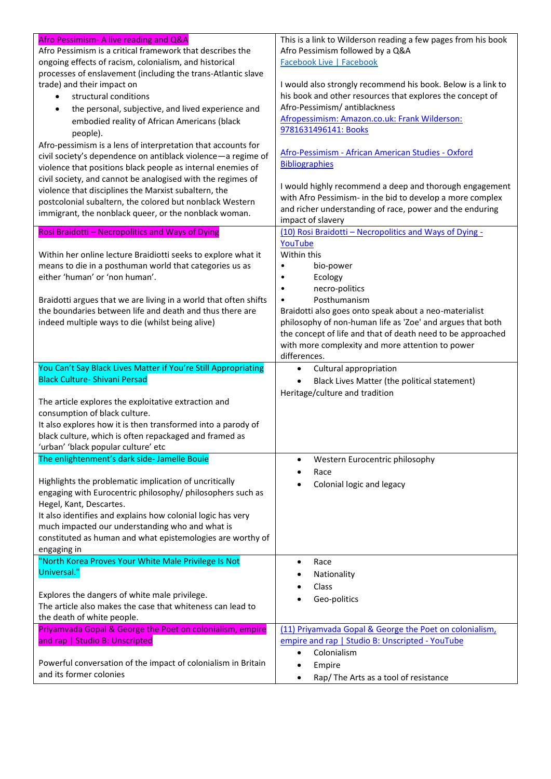| Afro Pessimism- A live reading and Q&A                                                        | This is a link to Wilderson reading a few pages from his book                                                        |
|-----------------------------------------------------------------------------------------------|----------------------------------------------------------------------------------------------------------------------|
| Afro Pessimism is a critical framework that describes the                                     | Afro Pessimism followed by a Q&A                                                                                     |
| ongoing effects of racism, colonialism, and historical                                        | <b>Facebook Live   Facebook</b>                                                                                      |
| processes of enslavement (including the trans-Atlantic slave                                  |                                                                                                                      |
| trade) and their impact on                                                                    | I would also strongly recommend his book. Below is a link to                                                         |
| structural conditions<br>$\bullet$                                                            | his book and other resources that explores the concept of                                                            |
| the personal, subjective, and lived experience and<br>$\bullet$                               | Afro-Pessimism/antiblackness                                                                                         |
| embodied reality of African Americans (black                                                  | Afropessimism: Amazon.co.uk: Frank Wilderson:                                                                        |
| people).                                                                                      | 9781631496141: Books                                                                                                 |
| Afro-pessimism is a lens of interpretation that accounts for                                  |                                                                                                                      |
| civil society's dependence on antiblack violence-a regime of                                  | Afro-Pessimism - African American Studies - Oxford                                                                   |
| violence that positions black people as internal enemies of                                   | <b>Bibliographies</b>                                                                                                |
| civil society, and cannot be analogised with the regimes of                                   |                                                                                                                      |
| violence that disciplines the Marxist subaltern, the                                          | I would highly recommend a deep and thorough engagement                                                              |
| postcolonial subaltern, the colored but nonblack Western                                      | with Afro Pessimism- in the bid to develop a more complex                                                            |
| immigrant, the nonblack queer, or the nonblack woman.                                         | and richer understanding of race, power and the enduring                                                             |
|                                                                                               | impact of slavery                                                                                                    |
| Rosi Braidotti - Necropolitics and Ways of Dying                                              | (10) Rosi Braidotti - Necropolitics and Ways of Dying -                                                              |
|                                                                                               | YouTube<br>Within this                                                                                               |
| Within her online lecture Braidiotti seeks to explore what it                                 |                                                                                                                      |
| means to die in a posthuman world that categories us as<br>either 'human' or 'non human'.     | bio-power                                                                                                            |
|                                                                                               | Ecology<br>necro-politics                                                                                            |
| Braidotti argues that we are living in a world that often shifts                              | ٠<br>Posthumanism<br>٠                                                                                               |
| the boundaries between life and death and thus there are                                      |                                                                                                                      |
|                                                                                               | Braidotti also goes onto speak about a neo-materialist<br>philosophy of non-human life as 'Zoe' and argues that both |
| indeed multiple ways to die (whilst being alive)                                              | the concept of life and that of death need to be approached                                                          |
|                                                                                               | with more complexity and more attention to power                                                                     |
|                                                                                               | differences.                                                                                                         |
|                                                                                               |                                                                                                                      |
|                                                                                               |                                                                                                                      |
| You Can't Say Black Lives Matter if You're Still Appropriating                                | Cultural appropriation<br>$\bullet$                                                                                  |
| <b>Black Culture- Shivani Persad</b>                                                          | Black Lives Matter (the political statement)<br>$\bullet$                                                            |
|                                                                                               | Heritage/culture and tradition                                                                                       |
| The article explores the exploitative extraction and                                          |                                                                                                                      |
| consumption of black culture.<br>It also explores how it is then transformed into a parody of |                                                                                                                      |
| black culture, which is often repackaged and framed as                                        |                                                                                                                      |
| 'urban' 'black popular culture' etc                                                           |                                                                                                                      |
| The enlightenment's dark side- Jamelle Bouie                                                  | ٠                                                                                                                    |
|                                                                                               | Western Eurocentric philosophy                                                                                       |
| Highlights the problematic implication of uncritically                                        | Race                                                                                                                 |
| engaging with Eurocentric philosophy/ philosophers such as                                    | Colonial logic and legacy                                                                                            |
| Hegel, Kant, Descartes.                                                                       |                                                                                                                      |
| It also identifies and explains how colonial logic has very                                   |                                                                                                                      |
| much impacted our understanding who and what is                                               |                                                                                                                      |
| constituted as human and what epistemologies are worthy of                                    |                                                                                                                      |
| engaging in                                                                                   |                                                                                                                      |
| "North Korea Proves Your White Male Privilege Is Not                                          | Race<br>٠                                                                                                            |
| Universal."                                                                                   | Nationality                                                                                                          |
|                                                                                               | Class                                                                                                                |
| Explores the dangers of white male privilege.                                                 |                                                                                                                      |
| The article also makes the case that whiteness can lead to                                    | Geo-politics                                                                                                         |
| the death of white people.                                                                    |                                                                                                                      |
| Priyamvada Gopal & George the Poet on colonialism, empire                                     | (11) Priyamvada Gopal & George the Poet on colonialism,                                                              |
| and rap   Studio B: Unscripted                                                                | empire and rap   Studio B: Unscripted - YouTube                                                                      |
|                                                                                               | Colonialism<br>$\bullet$                                                                                             |
| Powerful conversation of the impact of colonialism in Britain<br>and its former colonies      | Empire<br>$\bullet$                                                                                                  |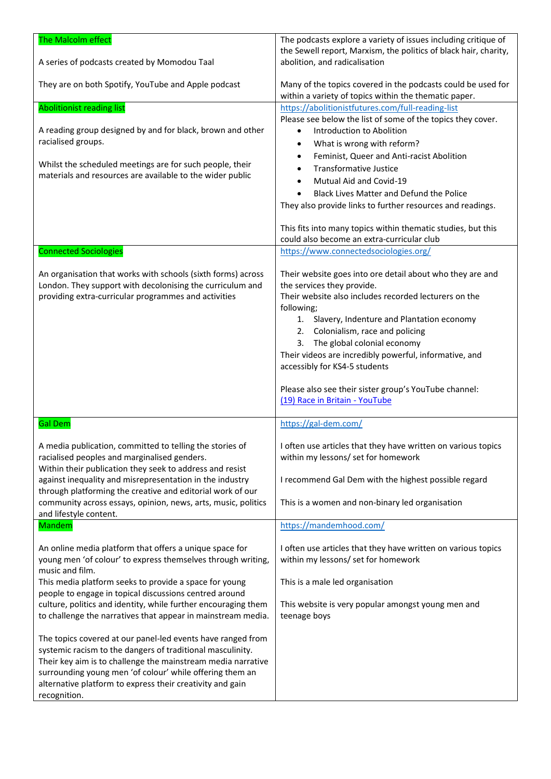| The Malcolm effect<br>A series of podcasts created by Momodou Taal                                                          | The podcasts explore a variety of issues including critique of<br>the Sewell report, Marxism, the politics of black hair, charity,<br>abolition, and radicalisation |
|-----------------------------------------------------------------------------------------------------------------------------|---------------------------------------------------------------------------------------------------------------------------------------------------------------------|
| They are on both Spotify, YouTube and Apple podcast                                                                         | Many of the topics covered in the podcasts could be used for<br>within a variety of topics within the thematic paper.                                               |
| <b>Abolitionist reading list</b>                                                                                            | https://abolitionistfutures.com/full-reading-list                                                                                                                   |
|                                                                                                                             | Please see below the list of some of the topics they cover.                                                                                                         |
| A reading group designed by and for black, brown and other                                                                  | Introduction to Abolition<br>٠                                                                                                                                      |
| racialised groups.                                                                                                          | What is wrong with reform?<br>٠                                                                                                                                     |
|                                                                                                                             | Feminist, Queer and Anti-racist Abolition<br>$\bullet$                                                                                                              |
| Whilst the scheduled meetings are for such people, their<br>materials and resources are available to the wider public       | <b>Transformative Justice</b><br>$\bullet$                                                                                                                          |
|                                                                                                                             | Mutual Aid and Covid-19<br>$\bullet$                                                                                                                                |
|                                                                                                                             | Black Lives Matter and Defund the Police                                                                                                                            |
|                                                                                                                             | They also provide links to further resources and readings.                                                                                                          |
|                                                                                                                             | This fits into many topics within thematic studies, but this<br>could also become an extra-curricular club                                                          |
| <b>Connected Sociologies</b>                                                                                                | https://www.connectedsociologies.org/                                                                                                                               |
|                                                                                                                             |                                                                                                                                                                     |
| An organisation that works with schools (sixth forms) across<br>London. They support with decolonising the curriculum and   | Their website goes into ore detail about who they are and<br>the services they provide.                                                                             |
| providing extra-curricular programmes and activities                                                                        | Their website also includes recorded lecturers on the                                                                                                               |
|                                                                                                                             | following;<br>1. Slavery, Indenture and Plantation economy                                                                                                          |
|                                                                                                                             | 2. Colonialism, race and policing                                                                                                                                   |
|                                                                                                                             | The global colonial economy<br>3.                                                                                                                                   |
|                                                                                                                             | Their videos are incredibly powerful, informative, and                                                                                                              |
|                                                                                                                             | accessibly for KS4-5 students                                                                                                                                       |
|                                                                                                                             | Please also see their sister group's YouTube channel:                                                                                                               |
|                                                                                                                             | (19) Race in Britain - YouTube                                                                                                                                      |
|                                                                                                                             |                                                                                                                                                                     |
| <b>Gal Dem</b>                                                                                                              | https://gal-dem.com/                                                                                                                                                |
| A media publication, committed to telling the stories of                                                                    | I often use articles that they have written on various topics                                                                                                       |
| racialised peoples and marginalised genders.                                                                                | within my lessons/ set for homework                                                                                                                                 |
| Within their publication they seek to address and resist                                                                    |                                                                                                                                                                     |
| against inequality and misrepresentation in the industry                                                                    | I recommend Gal Dem with the highest possible regard                                                                                                                |
| through platforming the creative and editorial work of our<br>community across essays, opinion, news, arts, music, politics | This is a women and non-binary led organisation                                                                                                                     |
| and lifestyle content.                                                                                                      |                                                                                                                                                                     |
| <b>Mandem</b>                                                                                                               | https://mandemhood.com/                                                                                                                                             |
|                                                                                                                             |                                                                                                                                                                     |
| An online media platform that offers a unique space for                                                                     | I often use articles that they have written on various topics<br>within my lessons/ set for homework                                                                |
| young men 'of colour' to express themselves through writing,<br>music and film.                                             |                                                                                                                                                                     |
| This media platform seeks to provide a space for young                                                                      | This is a male led organisation                                                                                                                                     |
| people to engage in topical discussions centred around                                                                      |                                                                                                                                                                     |
| culture, politics and identity, while further encouraging them                                                              | This website is very popular amongst young men and                                                                                                                  |
| to challenge the narratives that appear in mainstream media.                                                                | teenage boys                                                                                                                                                        |
|                                                                                                                             |                                                                                                                                                                     |
| The topics covered at our panel-led events have ranged from<br>systemic racism to the dangers of traditional masculinity.   |                                                                                                                                                                     |
| Their key aim is to challenge the mainstream media narrative                                                                |                                                                                                                                                                     |
| surrounding young men 'of colour' while offering them an                                                                    |                                                                                                                                                                     |
| alternative platform to express their creativity and gain                                                                   |                                                                                                                                                                     |
| recognition.                                                                                                                |                                                                                                                                                                     |